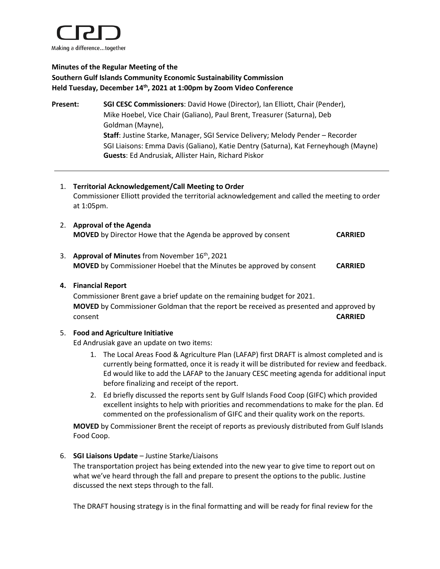

# **Minutes of the Regular Meeting of the Southern Gulf Islands Community Economic Sustainability Commission Held Tuesday, December 14 th, 2021 at 1:00pm by Zoom Video Conference**

- **Present: SGI CESC Commissioners**: David Howe (Director), Ian Elliott, Chair (Pender), Mike Hoebel, Vice Chair (Galiano), Paul Brent, Treasurer (Saturna), Deb Goldman (Mayne), **Staff**: Justine Starke, Manager, SGI Service Delivery; Melody Pender – Recorder SGI Liaisons: Emma Davis (Galiano), Katie Dentry (Saturna), Kat Ferneyhough (Mayne) **Guests**: Ed Andrusiak, Allister Hain, Richard Piskor
	- 1. **Territorial Acknowledgement/Call Meeting to Order** Commissioner Elliott provided the territorial acknowledgement and called the meeting to order at 1:05pm.
	- 2. **Approval of the Agenda MOVED** by Director Howe that the Agenda be approved by consent **CARRIED**
	- 3. **Approval of Minutes** from November 16<sup>th</sup>, 2021 **MOVED** by Commissioner Hoebel that the Minutes be approved by consent **CARRIED**

### **4. Financial Report**

Commissioner Brent gave a brief update on the remaining budget for 2021. **MOVED** by Commissioner Goldman that the report be received as presented and approved by consent **CARRIED**

## 5. **Food and Agriculture Initiative**

Ed Andrusiak gave an update on two items:

- 1. The Local Areas Food & Agriculture Plan (LAFAP) first DRAFT is almost completed and is currently being formatted, once it is ready it will be distributed for review and feedback. Ed would like to add the LAFAP to the January CESC meeting agenda for additional input before finalizing and receipt of the report.
- 2. Ed briefly discussed the reports sent by Gulf Islands Food Coop (GIFC) which provided excellent insights to help with priorities and recommendations to make for the plan. Ed commented on the professionalism of GIFC and their quality work on the reports.

**MOVED** by Commissioner Brent the receipt of reports as previously distributed from Gulf Islands Food Coop.

#### 6. **SGI Liaisons Update** – Justine Starke/Liaisons

The transportation project has being extended into the new year to give time to report out on what we've heard through the fall and prepare to present the options to the public. Justine discussed the next steps through to the fall.

The DRAFT housing strategy is in the final formatting and will be ready for final review for the